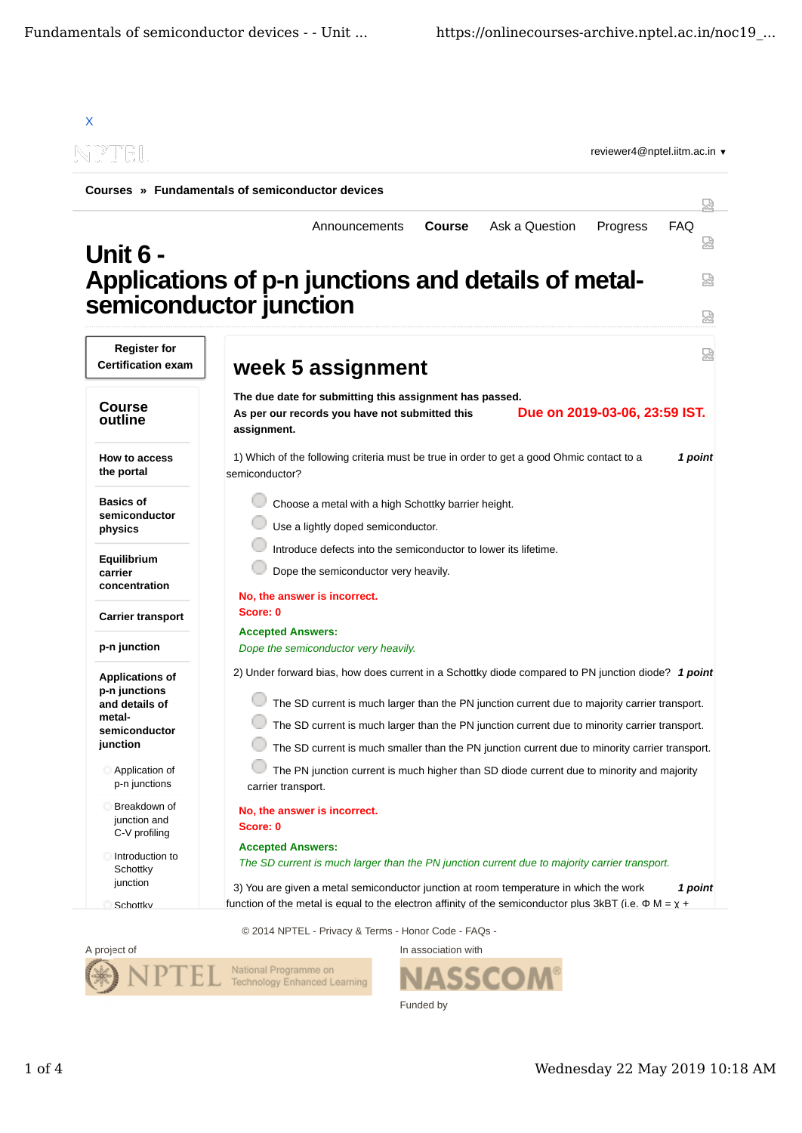

© 2014 NPTEL - Privacy & Terms - Honor Code - FAQs -



ASSCO

Funded by

In association with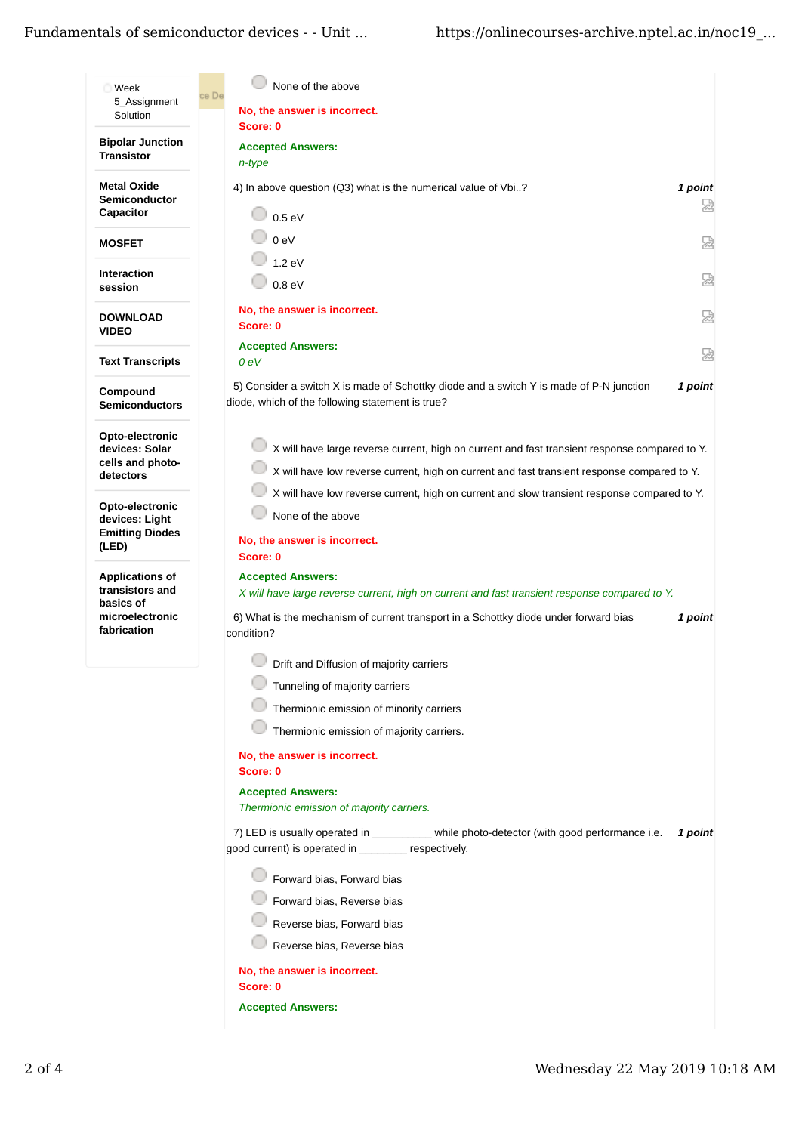## Fundamentals of semiconductor devices - - Unit ...

| Week                                                                                     | None of the above<br>ce De                                                                                                                                                                                                      |              |  |
|------------------------------------------------------------------------------------------|---------------------------------------------------------------------------------------------------------------------------------------------------------------------------------------------------------------------------------|--------------|--|
| 5 Assignment<br>Solution                                                                 | No, the answer is incorrect.                                                                                                                                                                                                    |              |  |
| <b>Bipolar Junction</b><br><b>Transistor</b>                                             | Score: 0<br><b>Accepted Answers:</b><br>n-type                                                                                                                                                                                  |              |  |
| <b>Metal Oxide</b><br><b>Semiconductor</b><br>Capacitor                                  | 4) In above question (Q3) what is the numerical value of Vbi?<br>0.5 eV                                                                                                                                                         | 1 point<br>요 |  |
| <b>MOSFET</b>                                                                            | 0 <sub>eV</sub>                                                                                                                                                                                                                 | 덣            |  |
| <b>Interaction</b><br>session                                                            | 1.2 eV<br>0.8 eV                                                                                                                                                                                                                | 닯            |  |
| <b>DOWNLOAD</b><br><b>VIDEO</b>                                                          | No, the answer is incorrect.<br>Score: 0                                                                                                                                                                                        | 요            |  |
| <b>Text Transcripts</b>                                                                  | <b>Accepted Answers:</b><br>0 <sub>eV</sub>                                                                                                                                                                                     | 덣            |  |
| Compound<br>Semiconductors                                                               | 5) Consider a switch X is made of Schottky diode and a switch Y is made of P-N junction<br>diode, which of the following statement is true?                                                                                     | 1 point      |  |
| Opto-electronic<br>devices: Solar<br>cells and photo-<br>detectors                       | X will have large reverse current, high on current and fast transient response compared to Y.<br>X will have low reverse current, high on current and fast transient response compared to Y.                                    |              |  |
| Opto-electronic<br>devices: Light<br><b>Emitting Diodes</b><br>(LED)                     | X will have low reverse current, high on current and slow transient response compared to Y.<br>None of the above<br>No, the answer is incorrect.<br>Score: 0                                                                    |              |  |
| <b>Applications of</b><br>transistors and<br>basics of<br>microelectronic<br>fabrication | <b>Accepted Answers:</b><br>X will have large reverse current, high on current and fast transient response compared to Y.<br>6) What is the mechanism of current transport in a Schottky diode under forward bias<br>condition? | 1 point      |  |
|                                                                                          | Drift and Diffusion of majority carriers                                                                                                                                                                                        |              |  |
|                                                                                          | Tunneling of majority carriers                                                                                                                                                                                                  |              |  |
|                                                                                          | Thermionic emission of minority carriers                                                                                                                                                                                        |              |  |
|                                                                                          | Thermionic emission of majority carriers.                                                                                                                                                                                       |              |  |
|                                                                                          | No, the answer is incorrect.<br>Score: 0                                                                                                                                                                                        |              |  |
|                                                                                          | <b>Accepted Answers:</b><br>Thermionic emission of majority carriers.                                                                                                                                                           |              |  |
|                                                                                          | 7) LED is usually operated in _________ while photo-detector (with good performance i.e.<br>good current) is operated in ________ respectively.                                                                                 | 1 point      |  |
|                                                                                          | Forward bias, Forward bias<br>Forward bias, Reverse bias<br>Reverse bias, Forward bias<br>Reverse bias, Reverse bias                                                                                                            |              |  |
|                                                                                          | No, the answer is incorrect.<br>Score: 0                                                                                                                                                                                        |              |  |
|                                                                                          | <b>Accepted Answers:</b>                                                                                                                                                                                                        |              |  |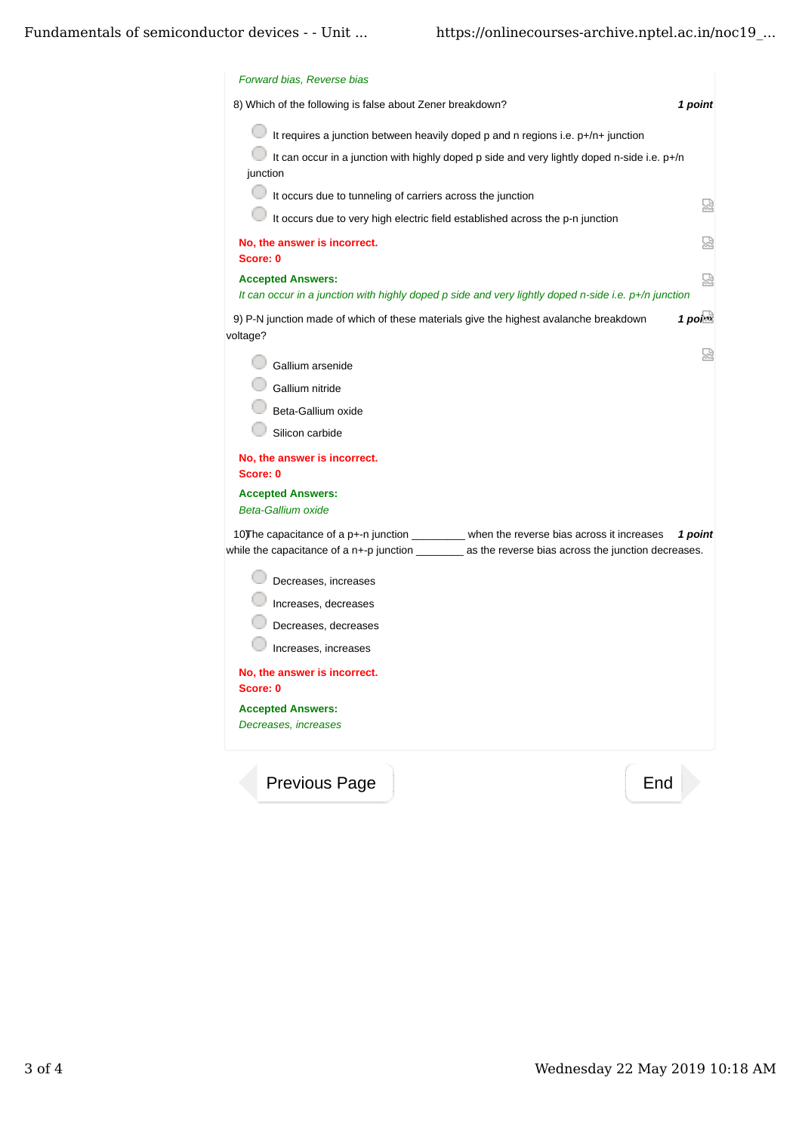| Forward bias, Reverse bias                                                                                                                                                                             |            |
|--------------------------------------------------------------------------------------------------------------------------------------------------------------------------------------------------------|------------|
| 8) Which of the following is false about Zener breakdown?                                                                                                                                              | 1 point    |
| It requires a junction between heavily doped p and n regions i.e. p+/n+ junction                                                                                                                       |            |
| It can occur in a junction with highly doped p side and very lightly doped n-side i.e. p+/n<br>junction                                                                                                |            |
| 0<br>It occurs due to tunneling of carriers across the junction                                                                                                                                        | 덣          |
| It occurs due to very high electric field established across the p-n junction                                                                                                                          |            |
| No, the answer is incorrect.<br>Score: 0                                                                                                                                                               | 얺          |
| <b>Accepted Answers:</b><br>It can occur in a junction with highly doped p side and very lightly doped n-side i.e. p+/n junction                                                                       | 덣          |
| 9) P-N junction made of which of these materials give the highest avalanche breakdown<br>voltage?                                                                                                      | $1$ points |
| Gallium arsenide                                                                                                                                                                                       | 냈          |
| Gallium nitride                                                                                                                                                                                        |            |
| Beta-Gallium oxide<br>Silicon carbide                                                                                                                                                                  |            |
| No, the answer is incorrect.<br>Score: 0                                                                                                                                                               |            |
| <b>Accepted Answers:</b><br><b>Beta-Gallium oxide</b>                                                                                                                                                  |            |
| 10) The capacitance of a p+-n junction ________ when the reverse bias across it increases<br>while the capacitance of a n+-p junction _____________ as the reverse bias across the junction decreases. | 1 point    |
| Decreases, increases                                                                                                                                                                                   |            |
| Increases, decreases                                                                                                                                                                                   |            |
| Decreases, decreases                                                                                                                                                                                   |            |
| Increases, increases                                                                                                                                                                                   |            |
| No, the answer is incorrect.<br>Score: 0                                                                                                                                                               |            |
| <b>Accepted Answers:</b>                                                                                                                                                                               |            |
| Decreases, increases                                                                                                                                                                                   |            |
| <b>Previous Page</b>                                                                                                                                                                                   | End        |